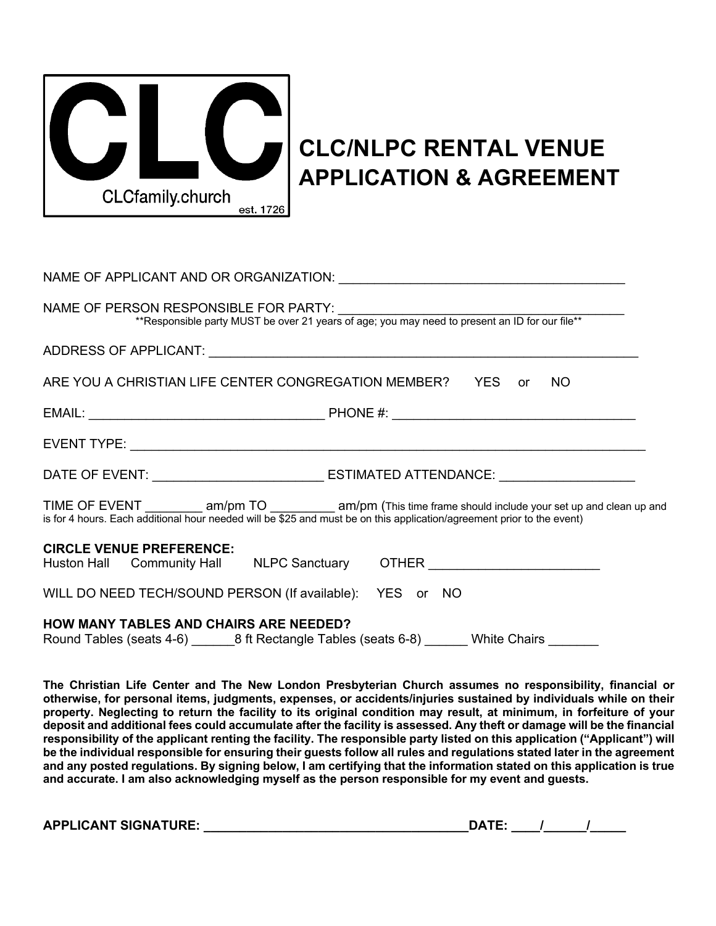

# **CLC/NLPC RENTAL VENUE APPLICATION & AGREEMENT**

| NAME OF APPLICANT AND OR ORGANIZATION: University of APPLICANT AND OR ORGANIZATION:                                                     |                                                                                                                       |
|-----------------------------------------------------------------------------------------------------------------------------------------|-----------------------------------------------------------------------------------------------------------------------|
| NAME OF PERSON RESPONSIBLE FOR PARTY:<br>**Responsible party MUST be over 21 years of age; you may need to present an ID for our file** |                                                                                                                       |
|                                                                                                                                         |                                                                                                                       |
| ARE YOU A CHRISTIAN LIFE CENTER CONGREGATION MEMBER?   YES   or   NO                                                                    |                                                                                                                       |
|                                                                                                                                         |                                                                                                                       |
|                                                                                                                                         |                                                                                                                       |
|                                                                                                                                         |                                                                                                                       |
| is for 4 hours. Each additional hour needed will be \$25 and must be on this application/agreement prior to the event)                  | TIME OF EVENT _____________ am/pm TO _____________ am/pm (This time frame should include your set up and clean up and |
| <b>CIRCLE VENUE PREFERENCE:</b><br>Huston Hall Community Hall NLPC Sanctuary OTHER Number 2011                                          |                                                                                                                       |
| WILL DO NEED TECH/SOUND PERSON (If available): YES or NO                                                                                |                                                                                                                       |
| <b>HOW MANY TABLES AND CHAIRS ARE NEEDED?</b>                                                                                           |                                                                                                                       |

**The Christian Life Center and The New London Presbyterian Church assumes no responsibility, financial or otherwise, for personal items, judgments, expenses, or accidents/injuries sustained by individuals while on their property. Neglecting to return the facility to its original condition may result, at minimum, in forfeiture of your deposit and additional fees could accumulate after the facility is assessed. Any theft or damage will be the financial responsibility of the applicant renting the facility. The responsible party listed on this application ("Applicant") will be the individual responsible for ensuring their guests follow all rules and regulations stated later in the agreement and any posted regulations. By signing below, I am certifying that the information stated on this application is true and accurate. I am also acknowledging myself as the person responsible for my event and guests.**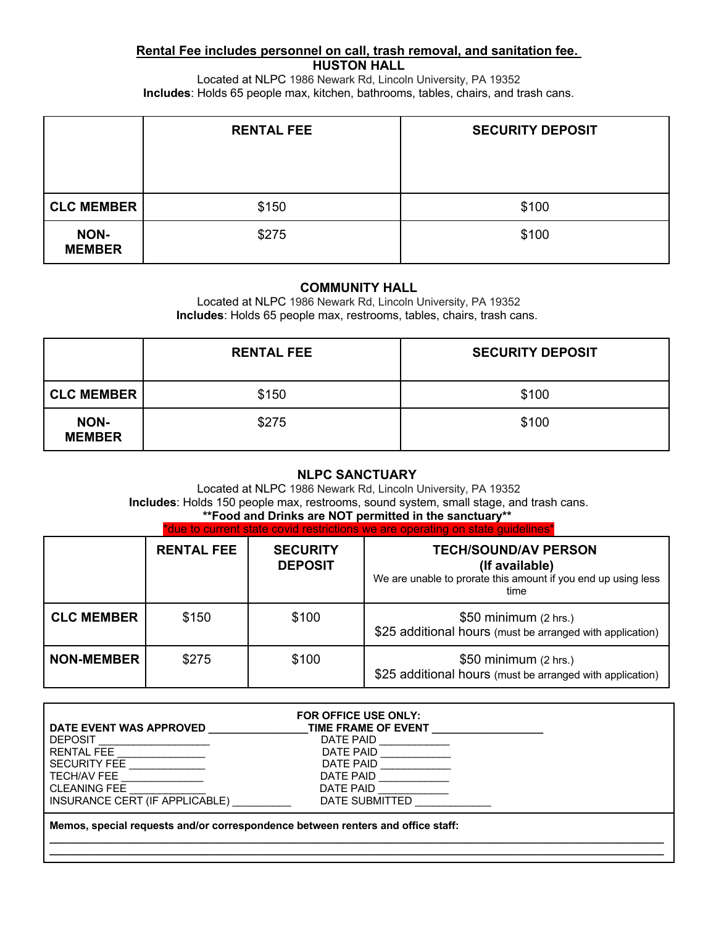#### **Rental Fee includes personnel on call, trash removal, and sanitation fee. HUSTON HALL**

Located at NLPC 1986 Newark Rd, Lincoln University, PA 19352 **Includes**: Holds 65 people max, kitchen, bathrooms, tables, chairs, and trash cans.

|                       | <b>RENTAL FEE</b> | <b>SECURITY DEPOSIT</b> |
|-----------------------|-------------------|-------------------------|
|                       |                   |                         |
|                       |                   |                         |
| <b>CLC MEMBER</b>     | \$150             | \$100                   |
| NON-<br><b>MEMBER</b> | \$275             | \$100                   |

#### **COMMUNITY HALL**

Located at NLPC 1986 Newark Rd, Lincoln University, PA 19352 **Includes**: Holds 65 people max, restrooms, tables, chairs, trash cans.

|                              | <b>RENTAL FEE</b> | <b>SECURITY DEPOSIT</b> |
|------------------------------|-------------------|-------------------------|
| <b>CLC MEMBER</b>            | \$150             | \$100                   |
| <b>NON-</b><br><b>MEMBER</b> | \$275             | \$100                   |

# **NLPC SANCTUARY**

Located at NLPC 1986 Newark Rd, Lincoln University, PA 19352 **Includes**: Holds 150 people max, restrooms, sound system, small stage, and trash cans.

# **\*\*Food and Drinks are NOT permitted in the sanctuary\*\***

| *due to current state covid restrictions we are operating on state guidelines* |
|--------------------------------------------------------------------------------|
|--------------------------------------------------------------------------------|

|                   | <b>RENTAL FEE</b> | <b>SECURITY</b><br><b>DEPOSIT</b> | <b>TECH/SOUND/AV PERSON</b><br>(If available)<br>We are unable to prorate this amount if you end up using less<br>time |
|-------------------|-------------------|-----------------------------------|------------------------------------------------------------------------------------------------------------------------|
| <b>CLC MEMBER</b> | \$150             | \$100                             | \$50 minimum (2 hrs.)<br>\$25 additional hours (must be arranged with application)                                     |
| <b>NON-MEMBER</b> | \$275             | \$100                             | \$50 minimum (2 hrs.)<br>\$25 additional hours (must be arranged with application)                                     |

|                                                                                 | FOR OFFICE USE ONLY:       |  |
|---------------------------------------------------------------------------------|----------------------------|--|
| DATE EVENT WAS APPROVED                                                         | <b>TIME FRAME OF EVENT</b> |  |
| <b>DEPOSIT</b>                                                                  | DATE PAID                  |  |
| <b>RENTAL FEE</b>                                                               | DATE PAID                  |  |
| <b>SECURITY FEE</b>                                                             | DATE PAID                  |  |
| I TECH/AV FEE                                                                   | DATE PAID                  |  |
| I CLEANING FEE                                                                  | DATE PAID                  |  |
| INSURANCE CERT (IF APPLICABLE)                                                  | DATE SUBMITTED             |  |
| Memos, special requests and/or correspondence between renters and office staff: |                            |  |

**\_\_\_\_\_\_\_\_\_\_\_\_\_\_\_\_\_\_\_\_\_\_\_\_\_\_\_\_\_\_\_\_\_\_\_\_\_\_\_\_\_\_\_\_\_\_\_\_\_\_\_\_\_\_\_\_\_\_\_\_\_\_\_\_\_\_\_\_\_\_\_\_\_\_\_\_\_\_\_\_\_\_\_\_\_\_\_\_\_\_\_\_\_\_\_\_\_\_\_\_\_\_\_\_\_ \_\_\_\_\_\_\_\_\_\_\_\_\_\_\_\_\_\_\_\_\_\_\_\_\_\_\_\_\_\_\_\_\_\_\_\_\_\_\_\_\_\_\_\_\_\_\_\_\_\_\_\_\_\_\_\_\_\_\_\_\_\_\_\_\_\_\_\_\_\_\_\_\_\_\_\_\_\_\_\_\_\_\_\_\_\_\_\_\_\_\_\_\_\_\_\_\_\_\_\_\_\_\_\_\_**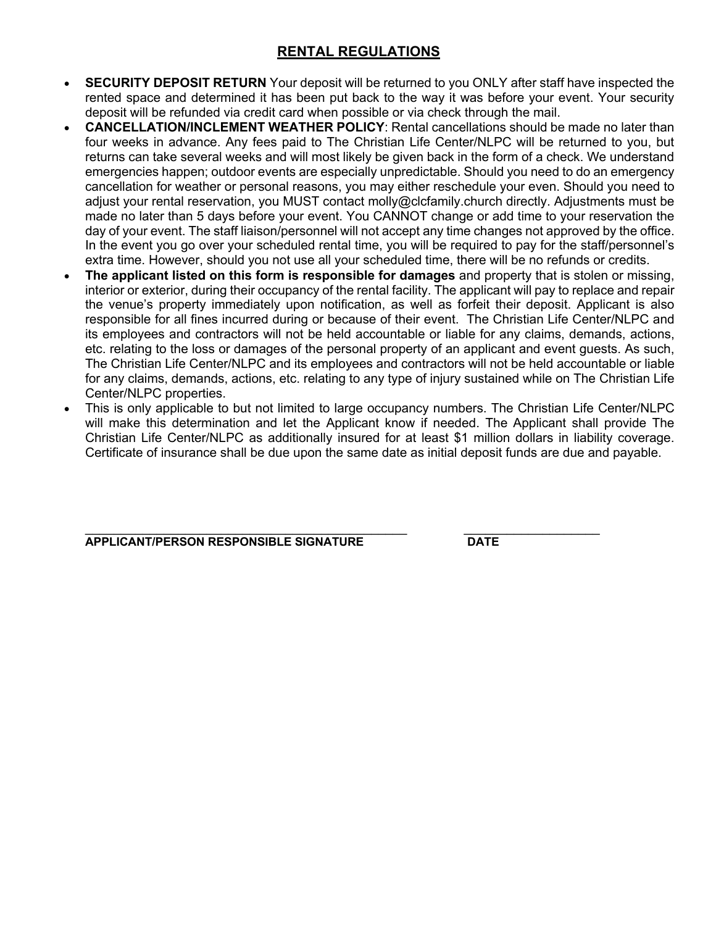# **RENTAL REGULATIONS**

- **SECURITY DEPOSIT RETURN** Your deposit will be returned to you ONLY after staff have inspected the rented space and determined it has been put back to the way it was before your event. Your security deposit will be refunded via credit card when possible or via check through the mail.
- **CANCELLATION/INCLEMENT WEATHER POLICY**: Rental cancellations should be made no later than four weeks in advance. Any fees paid to The Christian Life Center/NLPC will be returned to you, but returns can take several weeks and will most likely be given back in the form of a check. We understand emergencies happen; outdoor events are especially unpredictable. Should you need to do an emergency cancellation for weather or personal reasons, you may either reschedule your even. Should you need to adjust your rental reservation, you MUST contact molly@clcfamily.church directly. Adjustments must be made no later than 5 days before your event. You CANNOT change or add time to your reservation the day of your event. The staff liaison/personnel will not accept any time changes not approved by the office. In the event you go over your scheduled rental time, you will be required to pay for the staff/personnel's extra time. However, should you not use all your scheduled time, there will be no refunds or credits.
- **The applicant listed on this form is responsible for damages** and property that is stolen or missing, interior or exterior, during their occupancy of the rental facility. The applicant will pay to replace and repair the venue's property immediately upon notification, as well as forfeit their deposit. Applicant is also responsible for all fines incurred during or because of their event. The Christian Life Center/NLPC and its employees and contractors will not be held accountable or liable for any claims, demands, actions, etc. relating to the loss or damages of the personal property of an applicant and event guests. As such, The Christian Life Center/NLPC and its employees and contractors will not be held accountable or liable for any claims, demands, actions, etc. relating to any type of injury sustained while on The Christian Life Center/NLPC properties.
- This is only applicable to but not limited to large occupancy numbers. The Christian Life Center/NLPC will make this determination and let the Applicant know if needed. The Applicant shall provide The Christian Life Center/NLPC as additionally insured for at least \$1 million dollars in liability coverage. Certificate of insurance shall be due upon the same date as initial deposit funds are due and payable.

**APPLICANT/PERSON RESPONSIBLE SIGNATURE DATE**

 $\_$  , and the set of the set of the set of the set of the set of the set of the set of the set of the set of the set of the set of the set of the set of the set of the set of the set of the set of the set of the set of th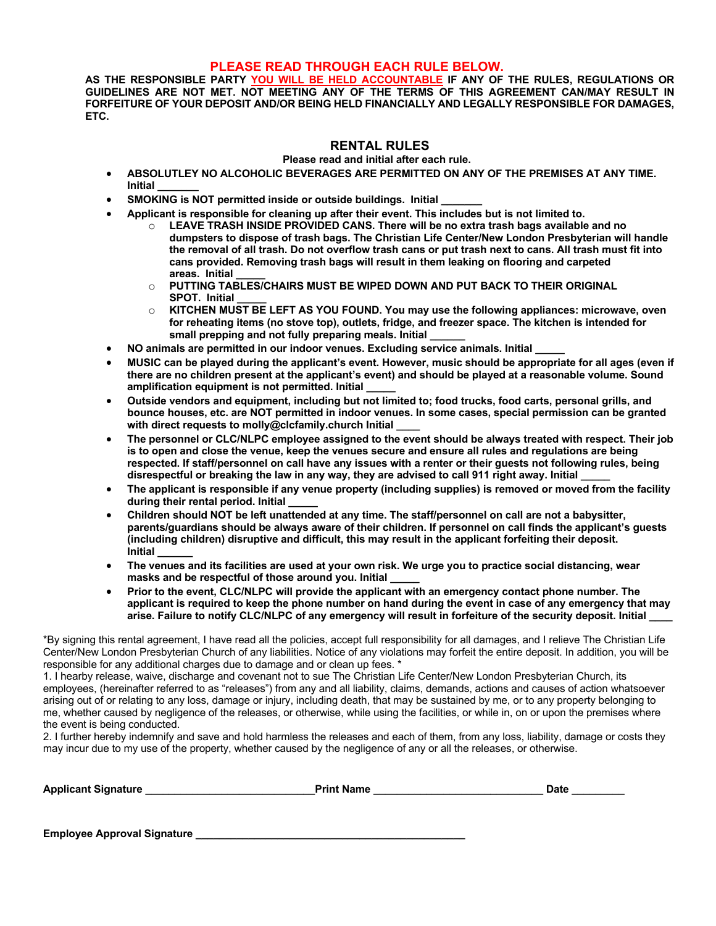#### **PLEASE READ THROUGH EACH RULE BELOW.**

**AS THE RESPONSIBLE PARTY YOU WILL BE HELD ACCOUNTABLE IF ANY OF THE RULES, REGULATIONS OR GUIDELINES ARE NOT MET. NOT MEETING ANY OF THE TERMS OF THIS AGREEMENT CAN/MAY RESULT IN FORFEITURE OF YOUR DEPOSIT AND/OR BEING HELD FINANCIALLY AND LEGALLY RESPONSIBLE FOR DAMAGES, ETC.**

#### **RENTAL RULES**

**Please read and initial after each rule.** 

- **ABSOLUTLEY NO ALCOHOLIC BEVERAGES ARE PERMITTED ON ANY OF THE PREMISES AT ANY TIME. Initial \_\_\_\_\_\_\_**
- **SMOKING is NOT permitted inside or outside buildings. Initial \_\_\_\_\_\_\_**
- **Applicant is responsible for cleaning up after their event. This includes but is not limited to.**
	- o **LEAVE TRASH INSIDE PROVIDED CANS. There will be no extra trash bags available and no dumpsters to dispose of trash bags. The Christian Life Center/New London Presbyterian will handle the removal of all trash. Do not overflow trash cans or put trash next to cans. All trash must fit into cans provided. Removing trash bags will result in them leaking on flooring and carpeted areas. Initial \_\_\_\_\_**
	- o **PUTTING TABLES/CHAIRS MUST BE WIPED DOWN AND PUT BACK TO THEIR ORIGINAL SPOT. Initial \_\_\_\_\_**
	- o **KITCHEN MUST BE LEFT AS YOU FOUND. You may use the following appliances: microwave, oven for reheating items (no stove top), outlets, fridge, and freezer space. The kitchen is intended for**  small prepping and not fully preparing meals. Initial
- **NO animals are permitted in our indoor venues. Excluding service animals. Initial \_\_\_\_\_**
- **MUSIC can be played during the applicant's event. However, music should be appropriate for all ages (even if there are no children present at the applicant's event) and should be played at a reasonable volume. Sound amplification equipment is not permitted. Initial \_\_\_\_\_**
- **Outside vendors and equipment, including but not limited to; food trucks, food carts, personal grills, and bounce houses, etc. are NOT permitted in indoor venues. In some cases, special permission can be granted**  with direct requests to molly@clcfamily.church Initial
- **The personnel or CLC/NLPC employee assigned to the event should be always treated with respect. Their job is to open and close the venue, keep the venues secure and ensure all rules and regulations are being respected. If staff/personnel on call have any issues with a renter or their guests not following rules, being disrespectful or breaking the law in any way, they are advised to call 911 right away. Initial \_\_\_\_\_**
- **The applicant is responsible if any venue property (including supplies) is removed or moved from the facility during their rental period. Initial \_\_\_\_\_**
- **Children should NOT be left unattended at any time. The staff/personnel on call are not a babysitter, parents/guardians should be always aware of their children. If personnel on call finds the applicant's guests (including children) disruptive and difficult, this may result in the applicant forfeiting their deposit. Initial \_\_\_\_\_\_**
- **The venues and its facilities are used at your own risk. We urge you to practice social distancing, wear masks and be respectful of those around you. Initial \_\_\_\_\_**
- **Prior to the event, CLC/NLPC will provide the applicant with an emergency contact phone number. The applicant is required to keep the phone number on hand during the event in case of any emergency that may arise. Failure to notify CLC/NLPC of any emergency will result in forfeiture of the security deposit. Initial \_\_\_\_**

\*By signing this rental agreement, I have read all the policies, accept full responsibility for all damages, and I relieve The Christian Life Center/New London Presbyterian Church of any liabilities. Notice of any violations may forfeit the entire deposit. In addition, you will be responsible for any additional charges due to damage and or clean up fees. \*

1. I hearby release, waive, discharge and covenant not to sue The Christian Life Center/New London Presbyterian Church, its employees, (hereinafter referred to as "releases") from any and all liability, claims, demands, actions and causes of action whatsoever arising out of or relating to any loss, damage or injury, including death, that may be sustained by me, or to any property belonging to me, whether caused by negligence of the releases, or otherwise, while using the facilities, or while in, on or upon the premises where the event is being conducted.

2. I further hereby indemnify and save and hold harmless the releases and each of them, from any loss, liability, damage or costs they may incur due to my use of the property, whether caused by the negligence of any or all the releases, or otherwise.

| <b>Applicant Signature</b>         | <b>Print Name</b> | <b>Date</b> |
|------------------------------------|-------------------|-------------|
|                                    |                   |             |
|                                    |                   |             |
| <b>Employee Approval Signature</b> |                   |             |